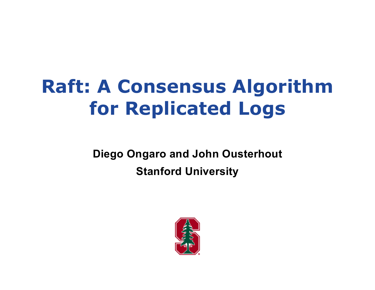# **Raft: A Consensus Algorithm for Replicated Logs**

**Diego Ongaro and John Ousterhout Stanford University**

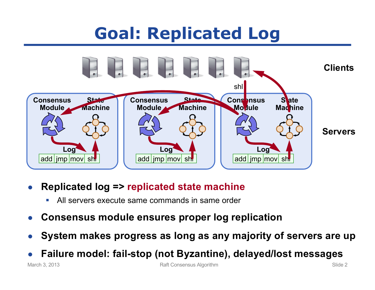## **Goal: Replicated Log**



- **Replicated log => replicated state machine**
	- All servers execute same commands in same order
- **Consensus module ensures proper log replication**
- **System makes progress as long as any majority of servers are up**
- **Failure model: fail-stop (not Byzantine), delayed/lost messages**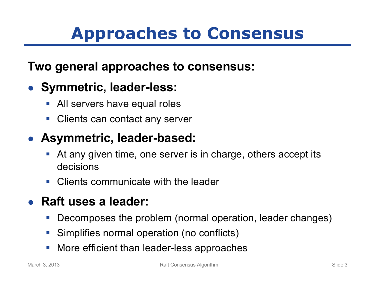## **Approaches to Consensus**

#### **Two general approaches to consensus:**

### ● **Symmetric, leader-less:**

- All servers have equal roles
- Clients can contact any server

#### ● **Asymmetric, leader-based:**

- At any given time, one server is in charge, others accept its decisions
- Clients communicate with the leader

### ● **Raft uses a leader:**

- Decomposes the problem (normal operation, leader changes)
- Simplifies normal operation (no conflicts)
- More efficient than leader-less approaches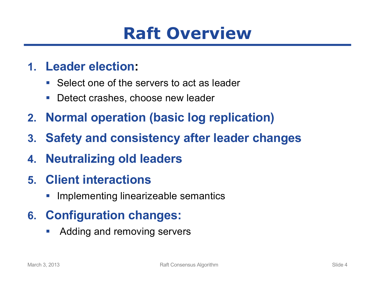## **Raft Overview**

#### **1. Leader election:**

- Select one of the servers to act as leader
- Detect crashes, choose new leader
- **2. Normal operation (basic log replication)**
- **3. Safety and consistency after leader changes**
- **4. Neutralizing old leaders**
- **5. Client interactions**
	- Implementing linearizeable semantics

### **6. Configuration changes:**

■ Adding and removing servers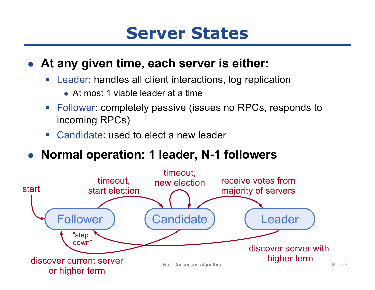## **Server States**

#### ● **At any given time, each server is either:**

- Leader: handles all client interactions, log replication
	- $\bullet$  At most 1 viable leader at a time
- Follower: completely passive (issues no RPCs, responds to incoming RPCs)
- Candidate: used to elect a new leader
- Normal operation: 1 leader, N-1 followers

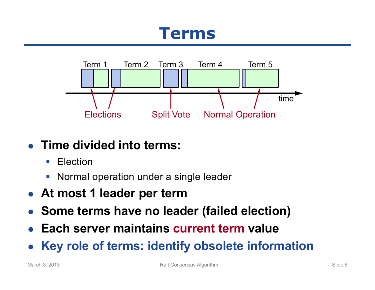## **Terms**



### ● **Time divided into terms:**

- Election
- **Normal operation under a single leader**
- **At most 1 leader per term**
- **Some terms have no leader (failed election)**
- **Each server maintains current term value**
- **Key role of terms: identify obsolete information**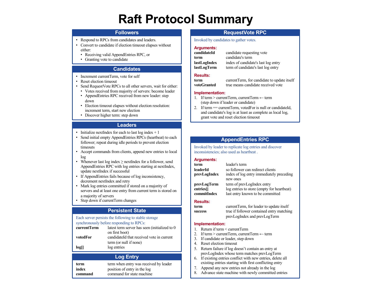### **Raft Protocol Summary**

#### **Followers**

- Respond to RPCs from candidates and leaders.
- Convert to candidate if election timeout elapses without either:
	- Receiving valid AppendEntries RPC, or
	- Granting vote to candidate

#### **Candidates**

- Increment currentTerm, vote for self
- Reset election timeout
- Send RequestVote RPCs to all other servers, wait for either:
- Votes received from majority of servers: become leader
- AppendEntries RPC received from new leader: step down
- Election timeout elapses without election resolution: increment term, start new election
- Discover higher term: step down

#### **Leaders**

- Initialize next Index for each to last  $log index + 1$
- Send initial empty AppendEntries RPCs (heartbeat) to each follower; repeat during idle periods to prevent election timeouts
- Accept commands from clients, append new entries to local log
- Whenever last  $log index \ge$  nextIndex for a follower, send AppendEntries RPC with log entries starting at nextIndex, update nextIndex if successful
- If AppendEntries fails because of log inconsistency, decrement nextIndex and retry
- Mark log entries committed if stored on a majority of servers and at least one entry from current term is stored on a majority of servers
- Step down if currentTerm changes

#### **Persistent State**

#### Each server persists the following to stable storage synchronously before responding to RPCs: **currentTerm** latest term server has seen (initialized to 0)

| votedFor | on first boot)<br>candidateId that received vote in current |
|----------|-------------------------------------------------------------|
|          | term (or null if none)<br>log entries                       |
| log[     |                                                             |

#### **Log Entry**

| term<br>term when entry was received by leader<br>position of entry in the log<br>index<br>command for state machine<br>command | .<br>_________<br>.<br>existing entries starting with first conflicting entry<br>Append any new entries not already in the log<br>Advance state machine with newly committed entries |  |
|---------------------------------------------------------------------------------------------------------------------------------|--------------------------------------------------------------------------------------------------------------------------------------------------------------------------------------|--|
|---------------------------------------------------------------------------------------------------------------------------------|--------------------------------------------------------------------------------------------------------------------------------------------------------------------------------------|--|

#### **RequestVote RPC**

Invoked by candidates to gather votes.

#### **Arguments:**

candidate requesting vote **term** candidate's term **lastLogIndex** index of candidate's last log entry **lastLogTerm** term of candidate's last log entry

#### **Results:**

**term** currentTerm, for candidate to update itself **voteGranted** true means candidate received vote

- **Implementation:**
- 1. If term > currentTerm, currentTerm  $\leftarrow$  term (step down if leader or candidate)
- 2. If term == currentTerm, votedFor is null or candidateId, and candidate's log is at least as complete as local log, grant vote and reset election timeout

#### **AppendEntries RPC**

Invoked by leader to replicate log entries and discover inconsistencies; also used as heartbeat .

#### **Arguments:**

| term         | leader's term                              |
|--------------|--------------------------------------------|
| leaderId     | so follower can redirect clients           |
| prevLogIndex | index of log entry immediately preceding   |
|              | new ones                                   |
| prevLogTerm  | term of prevLogIndex entry                 |
| entries[]    | log entries to store (empty for heartbeat) |
| commitIndex  | last entry known to be committed           |
|              |                                            |

#### **Results:**

| term    | currentTerm, for leader to update itself  |
|---------|-------------------------------------------|
| success | true if follower contained entry matching |
|         | prevLogIndex and prevLogTerm              |

#### **Implementation:**

- 1. Return if term < currentTerm
- 2. If term > currentTerm, currentTerm  $\leftarrow$  term
- 3. If candidate or leader, step down
- 4. Reset election timeout
- 5. Return failure if log doesn't contain an entry at prevLogIndex whose term matches prevLogTerm
- 6. If existing entries conflict with new entries, delete all
- 7. Append any new entries not already in the log
- 8. Advance state machine with newly committed entries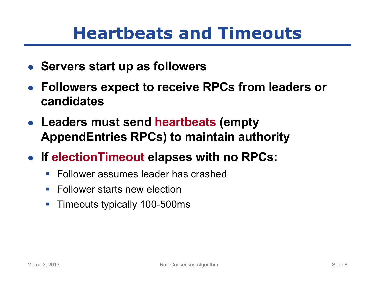## **Heartbeats and Timeouts**

- Servers start up as followers
- **Followers expect to receive RPCs from leaders or candidates**
- **Leaders must send heartbeats (empty AppendEntries RPCs) to maintain authority**
- **If electionTimeout elapses with no RPCs:**
	- Follower assumes leader has crashed
	- Follower starts new election
	- Timeouts typically 100-500ms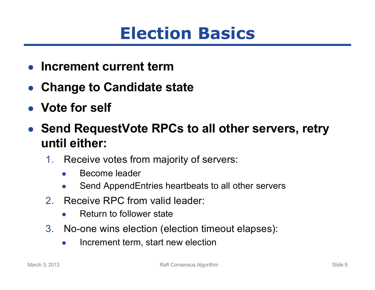## **Election Basics**

- **Increment current term**
- **Change to Candidate state**
- **Vote for self**
- **Send RequestVote RPCs to all other servers, retry until either:**
	- 1. Receive votes from majority of servers:
		- Become leader
		- Send AppendEntries heartbeats to all other servers
	- 2. Receive RPC from valid leader:
		- **Return to follower state**
	- 3. No-one wins election (election timeout elapses):
		- Increment term, start new election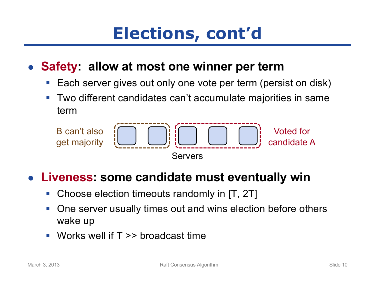## **Elections, cont'd**

### ● **Safety: allow at most one winner per term**

- Each server gives out only one vote per term (persist on disk)
- Two different candidates can't accumulate majorities in same term



#### **Liveness: some candidate must eventually win**

- Choose election timeouts randomly in [T, 2T]
- One server usually times out and wins election before others wake up
- $\blacksquare$  Works well if T  $\gt$  broadcast time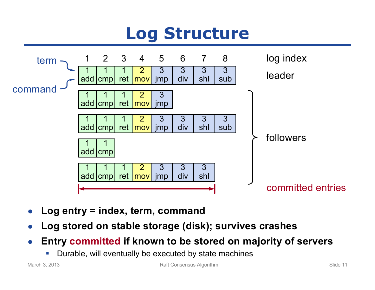## **Log Structure**



- **Log entry = index, term, command**
- **Log stored on stable storage (disk); survives crashes**
- **Entry committed if known to be stored on majority of servers**
	- Durable, will eventually be executed by state machines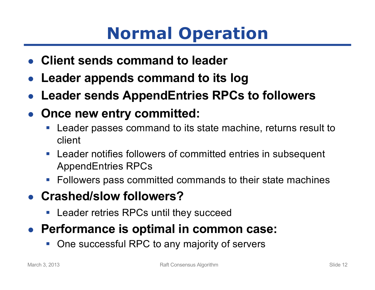## **Normal Operation**

- **Client sends command to leader**
- **Leader appends command to its log**
- **Leader sends AppendEntries RPCs to followers**
- **Once new entry committed:**
	- Leader passes command to its state machine, returns result to client
	- Leader notifies followers of committed entries in subsequent AppendEntries RPCs
	- Followers pass committed commands to their state machines
- **Crashed/slow followers?**
	- Leader retries RPCs until they succeed
- Performance is optimal in common case:
	- § One successful RPC to any majority of servers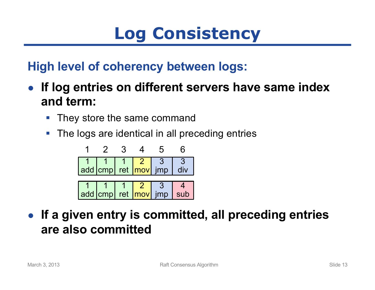## **Log Consistency**

### **High level of coherency between logs:**

- **If log entries on different servers have same index and term:**
	- They store the same command
	- The logs are identical in all preceding entries



● **If a given entry is committed, all preceding entries are also committed**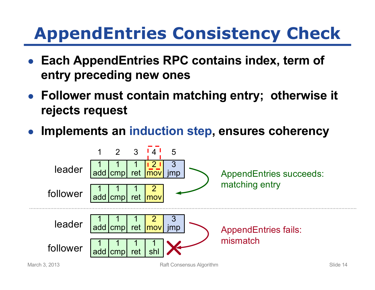## **AppendEntries Consistency Check**

- Each AppendEntries RPC contains index, term of **entry preceding new ones**
- **Follower must contain matching entry; otherwise it rejects request**
- **Implements an induction step, ensures coherency**

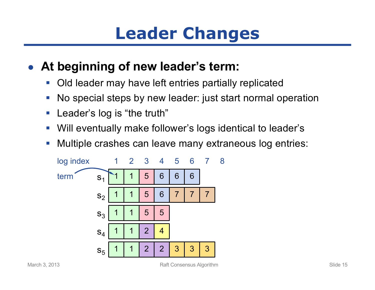## **Leader Changes**

### ● **At beginning of new leader's term:**

- Old leader may have left entries partially replicated
- No special steps by new leader: just start normal operation
- Leader's log is "the truth"
- Will eventually make follower's logs identical to leader's
- Multiple crashes can leave many extraneous log entries:

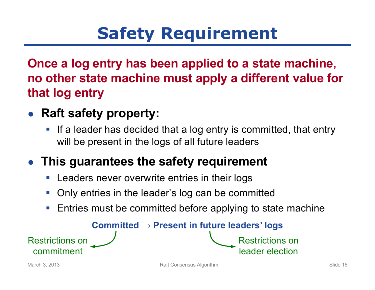## **Safety Requirement**

### **Once a log entry has been applied to a state machine, no other state machine must apply a different value for that log entry**

- **Raft safety property:**
	- If a leader has decided that a log entry is committed, that entry will be present in the logs of all future leaders

### ● **This guarantees the safety requirement**

- Leaders never overwrite entries in their logs
- § Only entries in the leader's log can be committed
- Entries must be committed before applying to state machine

**Committed → Present in future leaders' logs**

commitment

Restrictions on

Restrictions on

leader election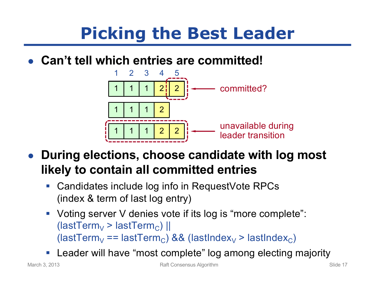## **Picking the Best Leader**

● **Can't tell which entries are committed!**



- **During elections, choose candidate with log most likely to contain all committed entries**
	- Candidates include log info in RequestVote RPCs (index & term of last log entry)
	- Voting server V denies vote if its log is "more complete":  $(lastTerm_{V} > lastTerm_{C})$  || (lastTerm<sub>V</sub> == lastTerm<sub>C</sub>) && (lastIndex<sub>V</sub> > lastIndex<sub>C</sub>)
	- Leader will have "most complete" log among electing majority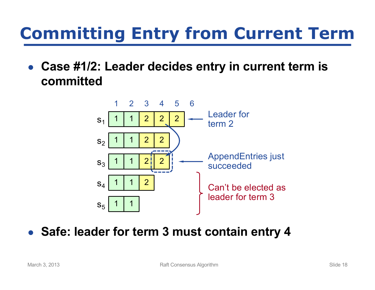## **Committing Entry from Current Term**

● Case #1/2: Leader decides entry in current term is **committed**



#### ● **Safe: leader for term 3 must contain entry 4**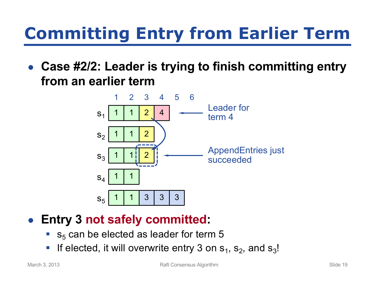## **Committing Entry from Earlier Term**

**Case #2/2: Leader is trying to finish committing entry from an earlier term**



#### ● **Entry 3 not safely committed:**

- $\bullet$  s<sub>5</sub> can be elected as leader for term 5
- **If elected, it will overwrite entry 3 on**  $s_1$ **,**  $s_2$ **, and**  $s_3!$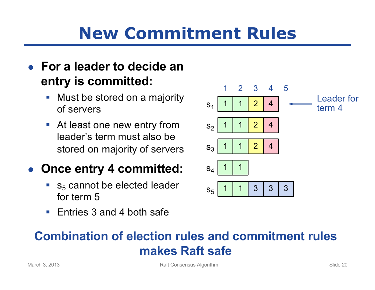## **New Commitment Rules**

#### ● **For a leader to decide an entry is committed:**

- Must be stored on a majority of servers
- At least one new entry from leader's term must also be stored on majority of servers

#### ● Once entry 4 committed:

- $\bullet$  s<sub>5</sub> cannot be elected leader for term 5
- Entries 3 and 4 both safe



### **Combination of election rules and commitment rules makes Raft safe**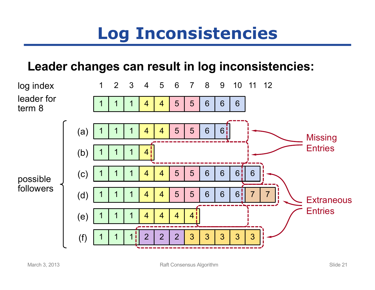## **Log Inconsistencies**

#### **Leader changes can result in log inconsistencies:**

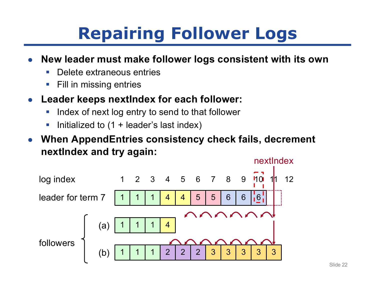## **Repairing Follower Logs**

- **New leader must make follower logs consistent with its own** 
	- Delete extraneous entries
	- Fill in missing entries
- **Leader keeps nextindex for each follower:** 
	- **Index of next log entry to send to that follower**
	- Initialized to (1 + leader's last index)
- **When AppendEntries consistency check fails, decrement nextIndex and try again:**

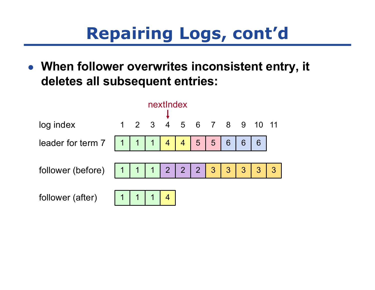## **Repairing Logs, cont'd**

● **When follower overwrites inconsistent entry, it deletes all subsequent entries:**

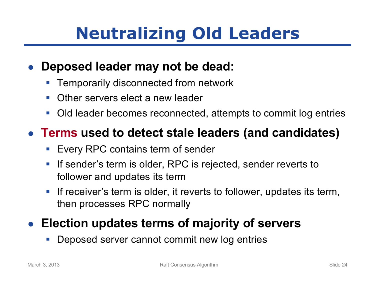## **Neutralizing Old Leaders**

#### **Deposed leader may not be dead:**

- § Temporarily disconnected from network
- Other servers elect a new leader
- Old leader becomes reconnected, attempts to commit log entries

### ● **Terms used to detect stale leaders (and candidates)**

- Every RPC contains term of sender
- If sender's term is older, RPC is rejected, sender reverts to follower and updates its term
- If receiver's term is older, it reverts to follower, updates its term, then processes RPC normally

### ● Election updates terms of majority of servers

§ Deposed server cannot commit new log entries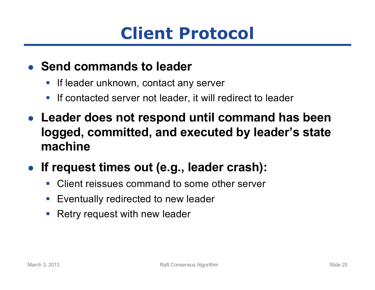## **Client Protocol**

#### ● **Send commands to leader**

- If leader unknown, contact any server
- If contacted server not leader, it will redirect to leader
- **Leader does not respond until command has been logged, committed, and executed by leader's state machine**
- **If request times out (e.g., leader crash):**
	- Client reissues command to some other server
	- Eventually redirected to new leader
	- Retry request with new leader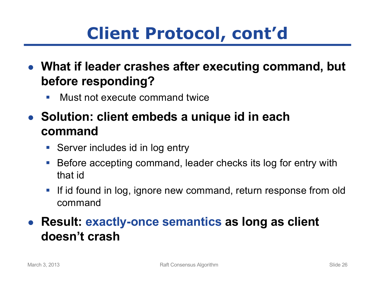## **Client Protocol, cont'd**

- **What if leader crashes after executing command, but before responding?**
	- Must not execute command twice
- Solution: client embeds a unique id in each **command**
	- Server includes id in log entry
	- Before accepting command, leader checks its log for entry with that id
	- If id found in log, ignore new command, return response from old command

### ● **Result: exactly-once semantics as long as client doesn't crash**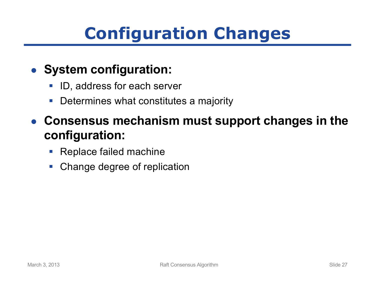## **Configuration Changes**

#### ● **System configuration:**

- ID, address for each server
- Determines what constitutes a majority
- **Consensus mechanism must support changes in the configuration:**
	- Replace failed machine
	- Change degree of replication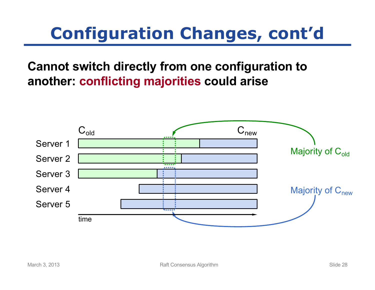## **Configuration Changes, cont'd**

**Cannot switch directly from one configuration to another: conflicting majorities could arise**

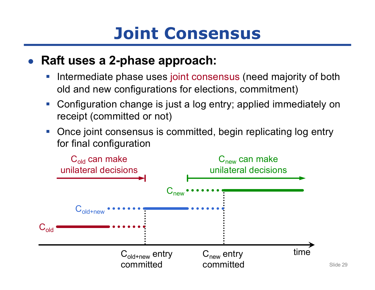## **Joint Consensus**

#### ● **Raft uses a 2-phase approach:**

- **Intermediate phase uses joint consensus (need majority of both** old and new configurations for elections, commitment)
- Configuration change is just a log entry; applied immediately on receipt (committed or not)
- Once joint consensus is committed, begin replicating log entry for final configuration

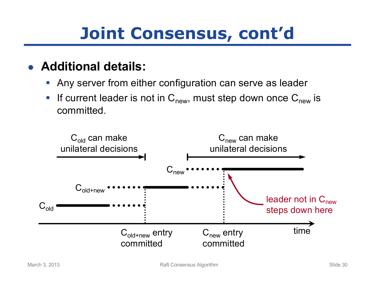## **Joint Consensus, cont'd**

- **Additional details:**
	- Any server from either configuration can serve as leader
	- **Fig. 1** If current leader is not in  $C_{new}$ , must step down once  $C_{new}$  is committed.